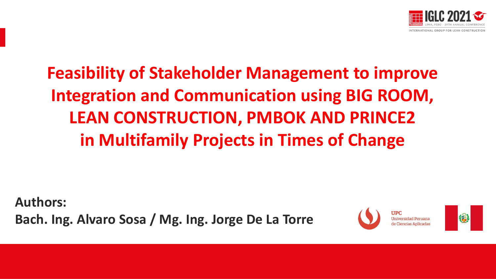

# **Feasibility of Stakeholder Management to improve Integration and Communication using BIG ROOM, LEAN CONSTRUCTION, PMBOK AND PRINCE2 in Multifamily Projects in Times of Change**

**Authors: Bach. Ing. Alvaro Sosa / Mg. Ing. Jorge De La Torre**



俗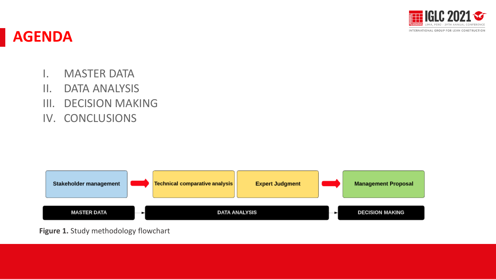

#### **AGENDA**

- I. MASTER DATA
- II. DATA ANALYSIS
- III. DECISION MAKING
- IV. CONCLUSIONS



**Figure 1.** Study methodology flowchart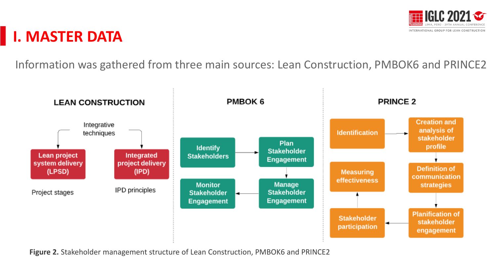

#### **I. MASTER DATA**

Information was gathered from three main sources: Lean Construction, PMBOK6 and PRINCE2



**Figure 2.** Stakeholder management structure of Lean Construction, PMBOK6 and PRINCE2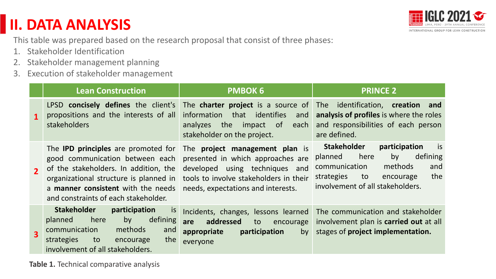### **II. DATA ANALYSIS**



This table was prepared based on the research proposal that consist of three phases:

- 1. Stakeholder Identification
- 2. Stakeholder management planning
- 3. Execution of stakeholder management

|                         | <b>Lean Construction</b>                                                                                                                                                                                                                       | <b>PMBOK 6</b>                                                                                                                                                                               | <b>PRINCE 2</b>                                                                                                                                                                               |
|-------------------------|------------------------------------------------------------------------------------------------------------------------------------------------------------------------------------------------------------------------------------------------|----------------------------------------------------------------------------------------------------------------------------------------------------------------------------------------------|-----------------------------------------------------------------------------------------------------------------------------------------------------------------------------------------------|
| $\mathbf{1}$            | LPSD concisely defines the client's<br>propositions and the interests of all<br>stakeholders                                                                                                                                                   | The charter project is a source of<br>that identifies<br>information<br>and<br>the<br>analyzes<br>impact of<br>each<br>stakeholder on the project.                                           | The identification, <b>creation and</b><br>analysis of profiles is where the roles<br>and responsibilities of each person<br>are defined.                                                     |
| $\overline{\mathbf{2}}$ | The <b>IPD principles</b> are promoted for<br>good communication between each<br>of the stakeholders. In addition, the<br>organizational structure is planned in<br>a manner consistent with the needs<br>and constraints of each stakeholder. | The <b>project management plan</b> is<br>presented in which approaches are<br>developed using techniques and<br>tools to involve stakeholders in their<br>needs, expectations and interests. | is<br><b>Stakeholder</b><br>participation<br>defining<br>here<br>by<br>planned<br>communication<br>methods<br>and<br>the<br>to<br>strategies<br>encourage<br>involvement of all stakeholders. |
| $\overline{\mathbf{3}}$ | <b>Stakeholder</b><br>participation<br><i>is</i><br>defining<br>by<br>planned<br>here<br>methods<br>communication<br>and<br>strategies<br>the<br>to<br>encourage<br>involvement of all stakeholders.                                           | Incidents, changes, lessons learned<br>addressed<br>are<br>to<br>encourage<br>participation<br>appropriate<br>by<br>everyone                                                                 | The communication and stakeholder<br>involvement plan is carried out at all<br>stages of project implementation.                                                                              |

**Table 1.** Technical comparative analysis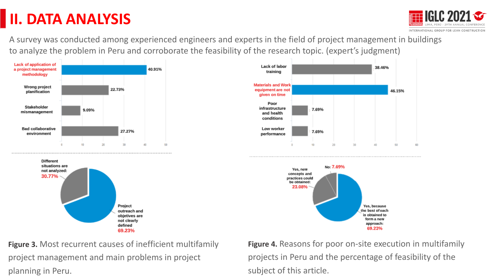## **II. DATA ANALYSIS**



A survey was conducted among experienced engineers and experts in the field of project management in buildings to analyze the problem in Peru and corroborate the feasibility of the research topic. (expert's judgment)



**Figure 3.** Most recurrent causes of inefficient multifamily project management and main problems in project planning in Peru.

**Figure 4.** Reasons for poor on-site execution in multifamily projects in Peru and the percentage of feasibility of the subject of this article.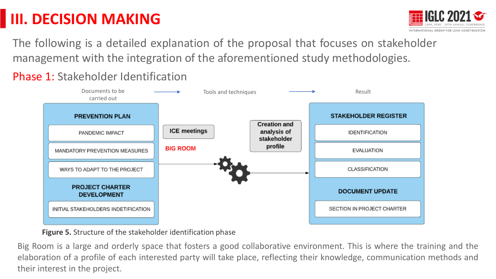

The following is a detailed explanation of the proposal that focuses on stakeholder management with the integration of the aforementioned study methodologies.

Phase 1: Stakeholder Identification



**Figure 5.** Structure of the stakeholder identification phase

Big Room is a large and orderly space that fosters a good collaborative environment. This is where the training and the elaboration of a profile of each interested party will take place, reflecting their knowledge, communication methods and their interest in the project.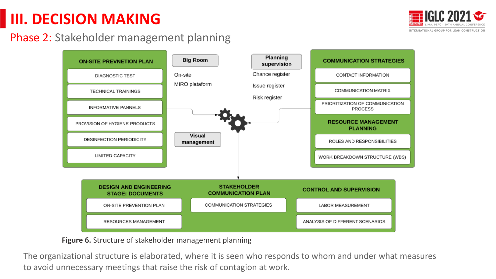

#### Phase 2: Stakeholder management planning



#### **Figure 6.** Structure of stakeholder management planning

The organizational structure is elaborated, where it is seen who responds to whom and under what measures to avoid unnecessary meetings that raise the risk of contagion at work.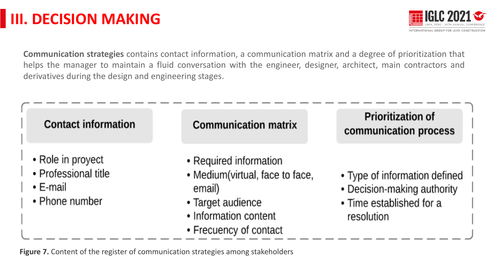

**Communication strategies** contains contact information, a communication matrix and a degree of prioritization that helps the manager to maintain a fluid conversation with the engineer, designer, architect, main contractors and derivatives during the design and engineering stages.

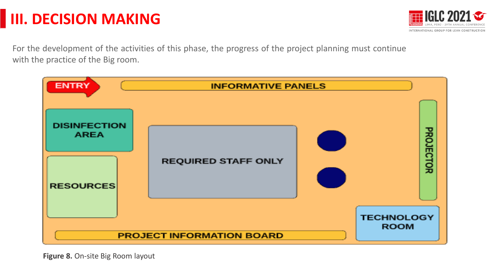

For the development of the activities of this phase, the progress of the project planning must continue with the practice of the Big room.



**Figure 8.** On-site Big Room layout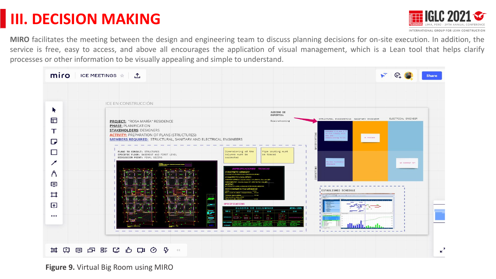

**MIRO** facilitates the meeting between the design and engineering team to discuss planning decisions for on-site execution. In addition, the service is free, easy to access, and above all encourages the application of visual management, which is a Lean tool that helps clarify processes or other information to be visually appealing and simple to understand.

| miro<br>ICE MEETINGS $\hat{\pi}$ 1  | ਵ<br><b>Share</b>                                                                                                                                                                                                                                                                                                                                                                                                                                                                                                                                                                                                                                                                                                                                             |                                                                                                                                                               |
|-------------------------------------|---------------------------------------------------------------------------------------------------------------------------------------------------------------------------------------------------------------------------------------------------------------------------------------------------------------------------------------------------------------------------------------------------------------------------------------------------------------------------------------------------------------------------------------------------------------------------------------------------------------------------------------------------------------------------------------------------------------------------------------------------------------|---------------------------------------------------------------------------------------------------------------------------------------------------------------|
| R<br>亍<br>т                         | ICE EN CONSTRUCCIÓN<br>JUICI00 DE<br>EXPERTOS:<br><b>PROJECT: "ROSA MARÍA" RESIDENCE</b><br>Brainstorming<br><b>PHASE: PLANIFICATION</b><br><b>STAKEHOLDERS: DESIGNERS</b><br><b>ACTIVITY: PREPARATION OF PLANS (STRUCTURES)</b>                                                                                                                                                                                                                                                                                                                                                                                                                                                                                                                              | ELECTRICAL ENGINEER<br>STRUCTURAL ENGINEERING SANITARY ENGINEER<br>Tolumns C-2 and C-3<br>io not comply with<br>the pro-<br>IN PROCESS<br>dimensioning fules. |
| D<br><b>COL</b><br>$\bigwedge$<br>ほ | <b>MEMBERS REQUIRED:</b> STRUCTURAL, SANITARY AND ELECTRICAL ENGINEERS<br>Dimensioning of the<br>PLANS TO CONSULT: STRUCTURES<br>Pipe routing must<br>SPECIFIC FLOOR: BASEMENT AND FIRST LEVEL<br>columns must be<br>be traced<br>DISCUSSION POINT: FINAL SIZING<br>corrected<br><b>ESPECIFICACIONES TECNICAS</b><br><b>VORETO ARMADO</b><br><b>ICRETO CICLOPEO</b><br>REDOS: Outcowls of Dates 1:10 +30% P.O. (Tank nails: DB)<br>We choose the +2067 P.M. (Two, max.)                                                                                                                                                                                                                                                                                       | <b>Nuview Technica</b><br>NO COMMERT VET<br>tacdazd <sup>11</sup>                                                                                             |
| ♯<br>口<br>$\bullet\bullet\bullet$   | CLIBRIMIENTOR MÍNIMOR<br><b>Car Focal ANY V Maritan</b><br>SPECIFICATIONS<br><b>CUADRO DE COLUMNAS</b><br>(ESC=1/25)<br>$C-1$ $C-2$ $C-3$ $C-4$<br>TIPO  <br>$C-5$ $C-6$<br>æ.<br>$\sim$<br>$-8.1$<br>$-89.7$<br>$\begin{tabular}{ c c c c c c c c c } \hline \multicolumn{1}{ c }{\textbf{1}} & \multicolumn{1}{ c }{\textbf{2}} & \multicolumn{1}{ c }{\textbf{3}} & \multicolumn{1}{ c }{\textbf{5}} & \multicolumn{1}{ c }{\textbf{6}} & \multicolumn{1}{ c }{\textbf{1}} & \multicolumn{1}{ c }{\textbf{6}} & \multicolumn{1}{ c }{\textbf{1}} & \multicolumn{1}{ c }{\textbf{1}} & \multicolumn{1}{ c }{\textbf{5}} & \multicolumn{1}{ c }{$<br>$B =$<br><b>KEALERSHIP</b><br>month the second control of the second<br>The property of the property of | <b>ESTABLISHED SCHEDULE</b><br><b>CONTRACTOR</b> PROPERTY<br><u>Hullbandh</u>                                                                                 |
|                                     | 其中国中部にも中のや<br>$<<$                                                                                                                                                                                                                                                                                                                                                                                                                                                                                                                                                                                                                                                                                                                                            |                                                                                                                                                               |

**Figure 9.** Virtual Big Room using MIRO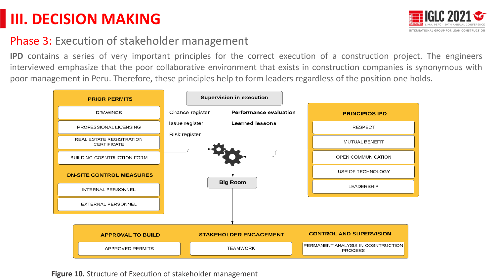

#### Phase 3: Execution of stakeholder management

**IPD** contains a series of very important principles for the correct execution of a construction project. The engineers interviewed emphasize that the poor collaborative environment that exists in construction companies is synonymous with poor management in Peru. Therefore, these principles help to form leaders regardless of the position one holds.



**Figure 10.** Structure of Execution of stakeholder management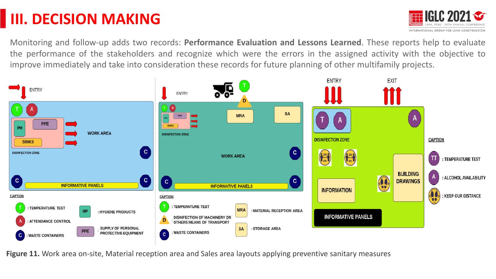

Monitoring and follow-up adds two records: **Performance Evaluation and Lessons Learned**. These reports help to evaluate the performance of the stakeholders and recognize which were the errors in the assigned activity with the objective to improve immediately and take into consideration these records for future planning of other multifamily projects.



**Figure 11.** Work area on-site, Material reception area and Sales area layouts applying preventive sanitary measures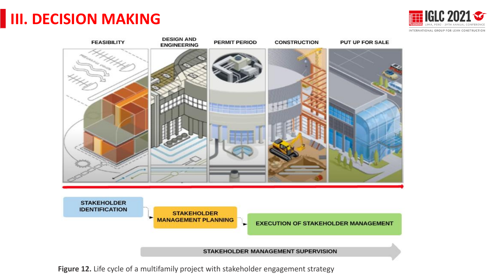



**Figure 12.** Life cycle of a multifamily project with stakeholder engagement strategy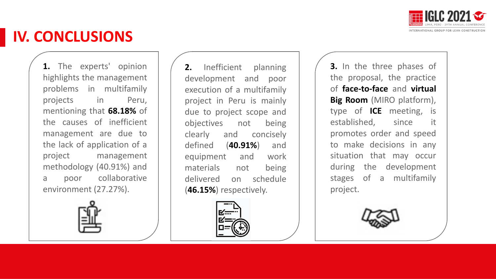

#### **IV. CONCLUSIONS**

**1.** The experts' opinion highlights the management problems in multifamily projects in Peru, mentioning that **68.18%** of the causes of inefficient management are due to the lack of application of a project management methodology (40.91%) and a poor collaborative environment (27.27%).



2. Inefficient planning development and poor execution of a multifamily project in Peru is mainly due to project scope and objectives not being clearly and concisely defined (**40.91%**) and equipment and work materials not being delivered on schedule (**46.15%**) respectively.



**3.** In the three phases of the proposal, the practice of **face-to-face** and **virtual Big Room** (MIRO platform), type of **ICE** meeting, is established, since it promotes order and speed to make decisions in any situation that may occur during the development stages of a multifamily project.

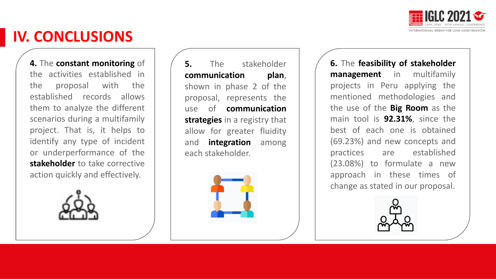

#### **IV. CONCLUSIONS**

**4.** The **constant monitoring** of the activities established in the proposal with the established records allows them to analyze the different scenarios during a multifamily project. That is, it helps to identify any type of incident or underperformance of the **stakeholder** to take corrective action quickly and effectively.



**5.** The stakeholder **communication plan**, shown in phase 2 of the proposal, represents the use of **communication strategies** in a registry that allow for greater fluidity and **integration** among each stakeholder.



**6.** The **feasibility of stakeholder management** in multifamily projects in Peru applying the mentioned methodologies and the use of the **Big Room** as the main tool is **92.31%**, since the best of each one is obtained (69.23%) and new concepts and practices are established (23.08%) to formulate a new approach in these times of change as stated in our proposal.